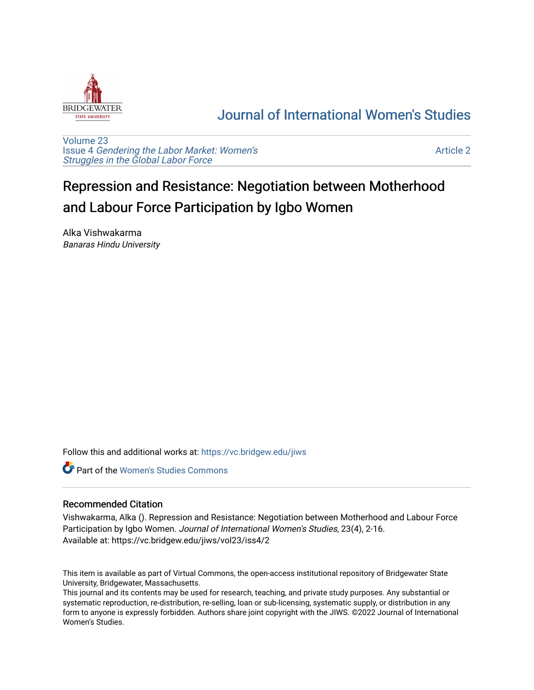

# [Journal of International Women's Studies](https://vc.bridgew.edu/jiws)

[Volume 23](https://vc.bridgew.edu/jiws/vol23) Issue 4 [Gendering the Labor Market: Women's](https://vc.bridgew.edu/jiws/vol23/iss4) [Struggles in the Global Labor Force](https://vc.bridgew.edu/jiws/vol23/iss4)

[Article 2](https://vc.bridgew.edu/jiws/vol23/iss4/2) 

# Repression and Resistance: Negotiation between Motherhood and Labour Force Participation by Igbo Women

Alka Vishwakarma Banaras Hindu University

Follow this and additional works at: [https://vc.bridgew.edu/jiws](https://vc.bridgew.edu/jiws?utm_source=vc.bridgew.edu%2Fjiws%2Fvol23%2Fiss4%2F2&utm_medium=PDF&utm_campaign=PDFCoverPages)

**C** Part of the Women's Studies Commons

#### Recommended Citation

Vishwakarma, Alka (). Repression and Resistance: Negotiation between Motherhood and Labour Force Participation by Igbo Women. Journal of International Women's Studies, 23(4), 2-16. Available at: https://vc.bridgew.edu/jiws/vol23/iss4/2

This item is available as part of Virtual Commons, the open-access institutional repository of Bridgewater State University, Bridgewater, Massachusetts.

This journal and its contents may be used for research, teaching, and private study purposes. Any substantial or systematic reproduction, re-distribution, re-selling, loan or sub-licensing, systematic supply, or distribution in any form to anyone is expressly forbidden. Authors share joint copyright with the JIWS. ©2022 Journal of International Women's Studies.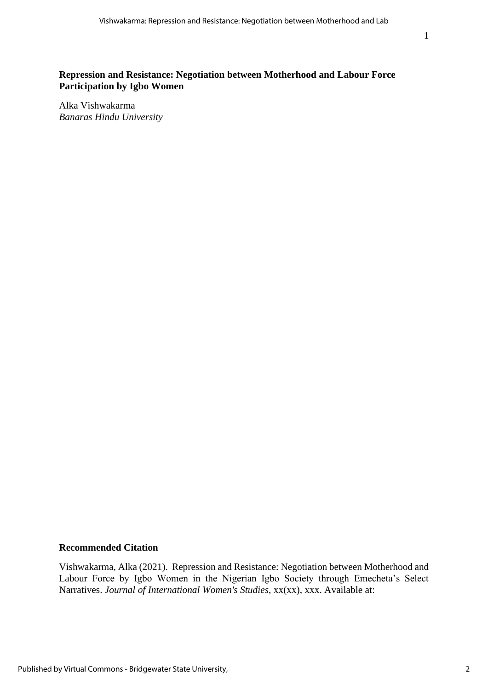# **Repression and Resistance: Negotiation between Motherhood and Labour Force Participation by Igbo Women**

Alka Vishwakarma *Banaras Hindu University*

## **Recommended Citation**

Vishwakarma, Alka (2021). Repression and Resistance: Negotiation between Motherhood and Labour Force by Igbo Women in the Nigerian Igbo Society through Emecheta's Select Narratives. *Journal of International Women's Studies*, xx(xx), xxx. Available at: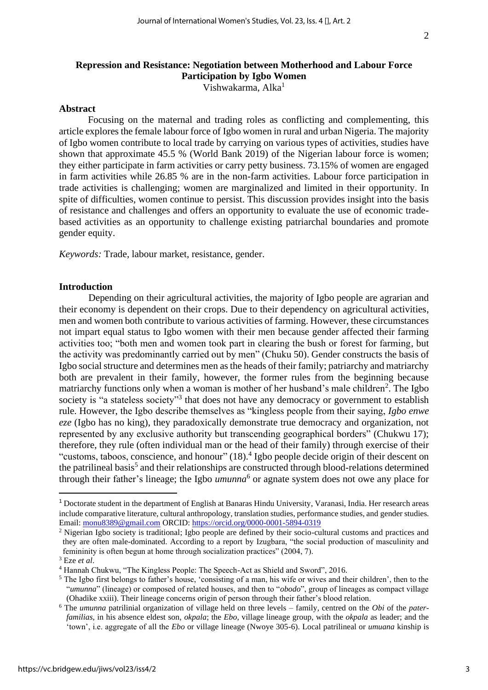# **Repression and Resistance: Negotiation between Motherhood and Labour Force Participation by Igbo Women**

Vishwakarma, Alka<sup>1</sup>

#### **Abstract**

Focusing on the maternal and trading roles as conflicting and complementing, this article explores the female labour force of Igbo women in rural and urban Nigeria. The majority of Igbo women contribute to local trade by carrying on various types of activities, studies have shown that approximate 45.5 % (World Bank 2019) of the Nigerian labour force is women; they either participate in farm activities or carry petty business. 73.15% of women are engaged in farm activities while 26.85 % are in the non-farm activities. Labour force participation in trade activities is challenging; women are marginalized and limited in their opportunity. In spite of difficulties, women continue to persist. This discussion provides insight into the basis of resistance and challenges and offers an opportunity to evaluate the use of economic tradebased activities as an opportunity to challenge existing patriarchal boundaries and promote gender equity.

*Keywords:* Trade, labour market, resistance, gender.

#### **Introduction**

Depending on their agricultural activities, the majority of Igbo people are agrarian and their economy is dependent on their crops. Due to their dependency on agricultural activities, men and women both contribute to various activities of farming. However, these circumstances not impart equal status to Igbo women with their men because gender affected their farming activities too; "both men and women took part in clearing the bush or forest for farming, but the activity was predominantly carried out by men" (Chuku 50). Gender constructs the basis of Igbo social structure and determines men as the heads of their family; patriarchy and matriarchy both are prevalent in their family, however, the former rules from the beginning because matriarchy functions only when a woman is mother of her husband's male children<sup>2</sup>. The Igbo society is "a stateless society"<sup>3</sup> that does not have any democracy or government to establish rule. However, the Igbo describe themselves as "kingless people from their saying, *Igbo enwe eze* (Igbo has no king), they paradoxically demonstrate true democracy and organization, not represented by any exclusive authority but transcending geographical borders" (Chukwu 17); therefore, they rule (often individual man or the head of their family) through exercise of their "customs, taboos, conscience, and honour" (18).<sup>4</sup> Igbo people decide origin of their descent on the patrilineal basis<sup>5</sup> and their relationships are constructed through blood-relations determined through their father's lineage; the Igbo *umunna*<sup>6</sup> or agnate system does not owe any place for

<sup>1</sup> Doctorate student in the department of English at Banaras Hindu University, Varanasi, India. Her research areas include comparative literature, cultural anthropology, translation studies, performance studies, and gender studies. Email: [monu8389@gmail.com](mailto:monu8389@gmail.com) ORCID: <https://orcid.org/0000-0001-5894-0319>

<sup>2</sup> Nigerian Igbo society is traditional; Igbo people are defined by their socio-cultural customs and practices and they are often male-dominated. According to a report by Izugbara, "the social production of masculinity and femininity is often begun at home through socialization practices" (2004, 7).

<sup>3</sup> Eze *et al*.

<sup>4</sup> Hannah Chukwu, "The Kingless People: The Speech-Act as Shield and Sword", 2016.

<sup>&</sup>lt;sup>5</sup> The Igbo first belongs to father's house, 'consisting of a man, his wife or wives and their children', then to the "*umunna*" (lineage) or composed of related houses, and then to "*obodo*", group of lineages as compact village (Ohadike xxiii). Their lineage concerns origin of person through their father's blood relation.

<sup>6</sup> The *umunna* patrilinial organization of village held on three levels – family, centred on the *Obi* of the *paterfamilias*, in his absence eldest son, *okpala*; the *Ebo*, village lineage group, with the *okpala* as leader; and the 'town', i.e. aggregate of all the *Ebo* or village lineage (Nwoye 305-6). Local patrilineal or *umuana* kinship is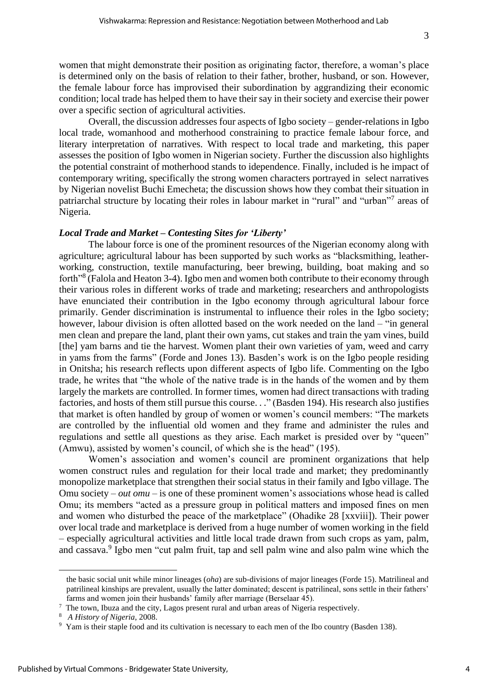women that might demonstrate their position as originating factor, therefore, a woman's place is determined only on the basis of relation to their father, brother, husband, or son. However, the female labour force has improvised their subordination by aggrandizing their economic condition; local trade has helped them to have their say in their society and exercise their power over a specific section of agricultural activities.

Overall, the discussion addresses four aspects of Igbo society – gender-relations in Igbo local trade, womanhood and motherhood constraining to practice female labour force, and literary interpretation of narratives. With respect to local trade and marketing, this paper assesses the position of Igbo women in Nigerian society. Further the discussion also highlights the potential constraint of motherhood stands to idependence. Finally, included is he impact of contemporary writing, specifically the strong women characters portrayed in select narratives by Nigerian novelist Buchi Emecheta; the discussion shows how they combat their situation in patriarchal structure by locating their roles in labour market in "rural" and "urban"<sup>7</sup> areas of Nigeria.

#### *Local Trade and Market – Contesting Sites for 'Liberty'*

The labour force is one of the prominent resources of the Nigerian economy along with agriculture; agricultural labour has been supported by such works as "blacksmithing, leatherworking, construction, textile manufacturing, beer brewing, building, boat making and so forth<sup>38</sup> (Falola and Heaton 3-4). Igbo men and women both contribute to their economy through their various roles in different works of trade and marketing; researchers and anthropologists have enunciated their contribution in the Igbo economy through agricultural labour force primarily. Gender discrimination is instrumental to influence their roles in the Igbo society; however, labour division is often allotted based on the work needed on the land – "in general men clean and prepare the land, plant their own yams, cut stakes and train the yam vines, build [the] yam barns and tie the harvest. Women plant their own varieties of yam, weed and carry in yams from the farms" (Forde and Jones 13). Basden's work is on the Igbo people residing in Onitsha; his research reflects upon different aspects of Igbo life. Commenting on the Igbo trade, he writes that "the whole of the native trade is in the hands of the women and by them largely the markets are controlled. In former times, women had direct transactions with trading factories, and hosts of them still pursue this course. . ." (Basden 194). His research also justifies that market is often handled by group of women or women's council members: "The markets are controlled by the influential old women and they frame and administer the rules and regulations and settle all questions as they arise. Each market is presided over by "queen" (Amwu), assisted by women's council, of which she is the head" (195).

Women's association and women's council are prominent organizations that help women construct rules and regulation for their local trade and market; they predominantly monopolize marketplace that strengthen their social status in their family and Igbo village. The Omu society – *out omu* – is one of these prominent women's associations whose head is called Omu; its members "acted as a pressure group in political matters and imposed fines on men and women who disturbed the peace of the marketplace" (Ohadike 28 [xxviii]). Their power over local trade and marketplace is derived from a huge number of women working in the field – especially agricultural activities and little local trade drawn from such crops as yam, palm, and cassava. 9 Igbo men "cut palm fruit, tap and sell palm wine and also palm wine which the

the basic social unit while minor lineages (*oha*) are sub-divisions of major lineages (Forde 15). Matrilineal and patrilineal kinships are prevalent, usually the latter dominated; descent is patrilineal, sons settle in their fathers' farms and women join their husbands' family after marriage (Berselaar 45).

<sup>&</sup>lt;sup>7</sup> The town, Ibuza and the city, Lagos present rural and urban areas of Nigeria respectively.

<sup>8</sup> *A History of Nigeria*, 2008.

<sup>9</sup> Yam is their staple food and its cultivation is necessary to each men of the Ibo country (Basden 138).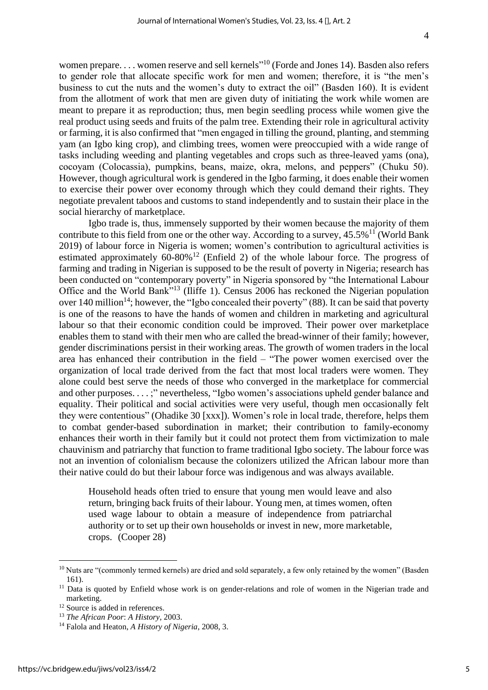women prepare.... women reserve and sell kernels"<sup>10</sup> (Forde and Jones 14). Basden also refers to gender role that allocate specific work for men and women; therefore, it is "the men's business to cut the nuts and the women's duty to extract the oil" (Basden 160). It is evident from the allotment of work that men are given duty of initiating the work while women are meant to prepare it as reproduction; thus, men begin seedling process while women give the real product using seeds and fruits of the palm tree. Extending their role in agricultural activity or farming, it is also confirmed that "men engaged in tilling the ground, planting, and stemming yam (an Igbo king crop), and climbing trees, women were preoccupied with a wide range of tasks including weeding and planting vegetables and crops such as three-leaved yams (ona), cocoyam (Colocassia), pumpkins, beans, maize, okra, melons, and peppers" (Chuku 50). However, though agricultural work is gendered in the Igbo farming, it does enable their women to exercise their power over economy through which they could demand their rights. They negotiate prevalent taboos and customs to stand independently and to sustain their place in the social hierarchy of marketplace.

Igbo trade is, thus, immensely supported by their women because the majority of them contribute to this field from one or the other way. According to a survey,  $45.5\%$ <sup>11</sup> (World Bank 2019) of labour force in Nigeria is women; women's contribution to agricultural activities is estimated approximately  $60-80\%$ <sup>12</sup> (Enfield 2) of the whole labour force. The progress of farming and trading in Nigerian is supposed to be the result of poverty in Nigeria; research has been conducted on "contemporary poverty" in Nigeria sponsored by "the International Labour Office and the World Bank"<sup>13</sup> (Iliffe 1). Census 2006 has reckoned the Nigerian population over 140 million<sup>14</sup>; however, the "Igbo concealed their poverty" (88). It can be said that poverty is one of the reasons to have the hands of women and children in marketing and agricultural labour so that their economic condition could be improved. Their power over marketplace enables them to stand with their men who are called the bread-winner of their family; however, gender discriminations persist in their working areas. The growth of women traders in the local area has enhanced their contribution in the field – "The power women exercised over the organization of local trade derived from the fact that most local traders were women. They alone could best serve the needs of those who converged in the marketplace for commercial and other purposes. . . . ;" nevertheless, "Igbo women's associations upheld gender balance and equality. Their political and social activities were very useful, though men occasionally felt they were contentious" (Ohadike 30 [xxx]). Women's role in local trade, therefore, helps them to combat gender-based subordination in market; their contribution to family-economy enhances their worth in their family but it could not protect them from victimization to male chauvinism and patriarchy that function to frame traditional Igbo society. The labour force was not an invention of colonialism because the colonizers utilized the African labour more than their native could do but their labour force was indigenous and was always available.

Household heads often tried to ensure that young men would leave and also return, bringing back fruits of their labour. Young men, at times women, often used wage labour to obtain a measure of independence from patriarchal authority or to set up their own households or invest in new, more marketable, crops. (Cooper 28)

<sup>&</sup>lt;sup>10</sup> Nuts are "(commonly termed kernels) are dried and sold separately, a few only retained by the women" (Basden 161).

<sup>&</sup>lt;sup>11</sup> Data is quoted by Enfield whose work is on gender-relations and role of women in the Nigerian trade and marketing.

<sup>&</sup>lt;sup>12</sup> Source is added in references.

<sup>13</sup> *The African Poor*: *A History*, 2003.

<sup>14</sup> Falola and Heaton, *A History of Nigeria*, 2008, 3.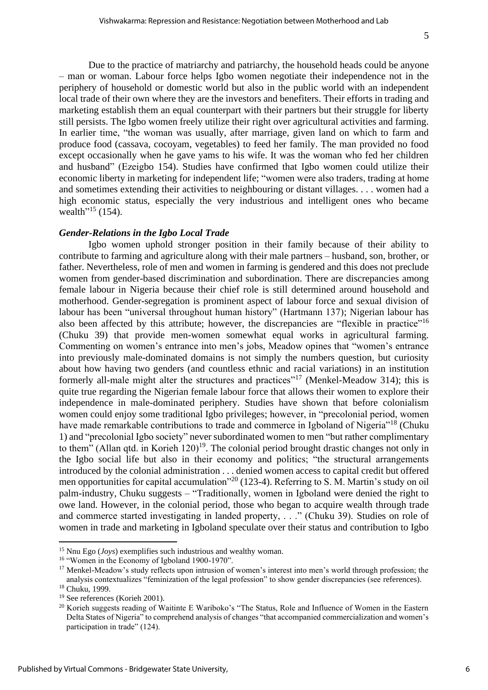Due to the practice of matriarchy and patriarchy, the household heads could be anyone – man or woman. Labour force helps Igbo women negotiate their independence not in the periphery of household or domestic world but also in the public world with an independent local trade of their own where they are the investors and benefiters. Their efforts in trading and marketing establish them an equal counterpart with their partners but their struggle for liberty still persists. The Igbo women freely utilize their right over agricultural activities and farming. In earlier time, "the woman was usually, after marriage, given land on which to farm and produce food (cassava, cocoyam, vegetables) to feed her family. The man provided no food except occasionally when he gave yams to his wife. It was the woman who fed her children and husband" (Ezeigbo 154). Studies have confirmed that Igbo women could utilize their economic liberty in marketing for independent life; "women were also traders, trading at home and sometimes extending their activities to neighbouring or distant villages. . . . women had a high economic status, especially the very industrious and intelligent ones who became wealth<sup> $15$ </sup> (154).

#### *Gender-Relations in the Igbo Local Trade*

Igbo women uphold stronger position in their family because of their ability to contribute to farming and agriculture along with their male partners – husband, son, brother, or father. Nevertheless, role of men and women in farming is gendered and this does not preclude women from gender-based discrimination and subordination. There are discrepancies among female labour in Nigeria because their chief role is still determined around household and motherhood. Gender-segregation is prominent aspect of labour force and sexual division of labour has been "universal throughout human history" (Hartmann 137); Nigerian labour has also been affected by this attribute; however, the discrepancies are "flexible in practice"<sup>16</sup> (Chuku 39) that provide men-women somewhat equal works in agricultural farming. Commenting on women's entrance into men's jobs, Meadow opines that "women's entrance into previously male-dominated domains is not simply the numbers question, but curiosity about how having two genders (and countless ethnic and racial variations) in an institution formerly all-male might alter the structures and practices"<sup>17</sup> (Menkel-Meadow 314); this is quite true regarding the Nigerian female labour force that allows their women to explore their independence in male-dominated periphery. Studies have shown that before colonialism women could enjoy some traditional Igbo privileges; however, in "precolonial period, women have made remarkable contributions to trade and commerce in Igboland of Nigeria"<sup>18</sup> (Chuku 1) and "precolonial Igbo society" never subordinated women to men "but rather complimentary to them" (Allan qtd. in Korieh  $120$ )<sup>19</sup>. The colonial period brought drastic changes not only in the Igbo social life but also in their economy and politics; "the structural arrangements introduced by the colonial administration . . . denied women access to capital credit but offered men opportunities for capital accumulation"<sup>20</sup> (123-4). Referring to S. M. Martin's study on oil palm-industry, Chuku suggests – "Traditionally, women in Igboland were denied the right to owe land. However, in the colonial period, those who began to acquire wealth through trade and commerce started investigating in landed property, . . ." (Chuku 39). Studies on role of women in trade and marketing in Igboland speculate over their status and contribution to Igbo

<sup>15</sup> Nnu Ego (*Joys*) exemplifies such industrious and wealthy woman.

<sup>&</sup>lt;sup>16</sup> "Women in the Economy of Igboland 1900-1970".

<sup>&</sup>lt;sup>17</sup> Menkel-Meadow's study reflects upon intrusion of women's interest into men's world through profession; the analysis contextualizes "feminization of the legal profession" to show gender discrepancies (see references).

<sup>18</sup> Chuku, 1999. <sup>19</sup> See references (Korieh 2001).

<sup>&</sup>lt;sup>20</sup> Korieh suggests reading of Waitinte E Wariboko's "The Status, Role and Influence of Women in the Eastern Delta States of Nigeria" to comprehend analysis of changes "that accompanied commercialization and women's participation in trade" (124).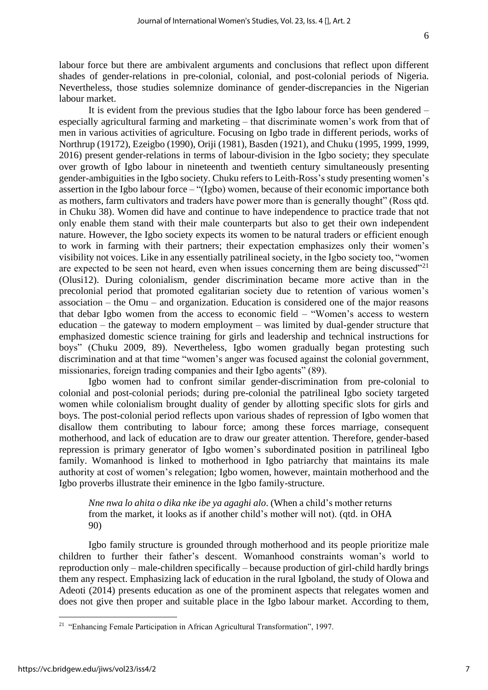labour force but there are ambivalent arguments and conclusions that reflect upon different shades of gender-relations in pre-colonial, colonial, and post-colonial periods of Nigeria. Nevertheless, those studies solemnize dominance of gender-discrepancies in the Nigerian labour market.

It is evident from the previous studies that the Igbo labour force has been gendered – especially agricultural farming and marketing – that discriminate women's work from that of men in various activities of agriculture. Focusing on Igbo trade in different periods, works of Northrup (19172), Ezeigbo (1990), Oriji (1981), Basden (1921), and Chuku (1995, 1999, 1999, 2016) present gender-relations in terms of labour-division in the Igbo society; they speculate over growth of Igbo labour in nineteenth and twentieth century simultaneously presenting gender-ambiguities in the Igbo society. Chuku refers to Leith-Ross's study presenting women's assertion in the Igbo labour force – "(Igbo) women, because of their economic importance both as mothers, farm cultivators and traders have power more than is generally thought" (Ross qtd. in Chuku 38). Women did have and continue to have independence to practice trade that not only enable them stand with their male counterparts but also to get their own independent nature. However, the Igbo society expects its women to be natural traders or efficient enough to work in farming with their partners; their expectation emphasizes only their women's visibility not voices. Like in any essentially patrilineal society, in the Igbo society too, "women are expected to be seen not heard, even when issues concerning them are being discussed $^{221}$ (Olusi12). During colonialism, gender discrimination became more active than in the precolonial period that promoted egalitarian society due to retention of various women's association – the Omu – and organization. Education is considered one of the major reasons that debar Igbo women from the access to economic field – "Women's access to western education – the gateway to modern employment – was limited by dual-gender structure that emphasized domestic science training for girls and leadership and technical instructions for boys" (Chuku 2009, 89). Nevertheless, Igbo women gradually began protesting such discrimination and at that time "women's anger was focused against the colonial government, missionaries, foreign trading companies and their Igbo agents" (89).

Igbo women had to confront similar gender-discrimination from pre-colonial to colonial and post-colonial periods; during pre-colonial the patrilineal Igbo society targeted women while colonialism brought duality of gender by allotting specific slots for girls and boys. The post-colonial period reflects upon various shades of repression of Igbo women that disallow them contributing to labour force; among these forces marriage, consequent motherhood, and lack of education are to draw our greater attention. Therefore, gender-based repression is primary generator of Igbo women's subordinated position in patrilineal Igbo family. Womanhood is linked to motherhood in Igbo patriarchy that maintains its male authority at cost of women's relegation; Igbo women, however, maintain motherhood and the Igbo proverbs illustrate their eminence in the Igbo family-structure.

*Nne nwa lo ahita o dika nke ibe ya agaghi alo*. (When a child's mother returns from the market, it looks as if another child's mother will not). (qtd. in OHA 90)

Igbo family structure is grounded through motherhood and its people prioritize male children to further their father's descent. Womanhood constraints woman's world to reproduction only – male-children specifically – because production of girl-child hardly brings them any respect. Emphasizing lack of education in the rural Igboland, the study of Olowa and Adeoti (2014) presents education as one of the prominent aspects that relegates women and does not give then proper and suitable place in the Igbo labour market. According to them,

<sup>&</sup>lt;sup>21</sup> "Enhancing Female Participation in African Agricultural Transformation", 1997.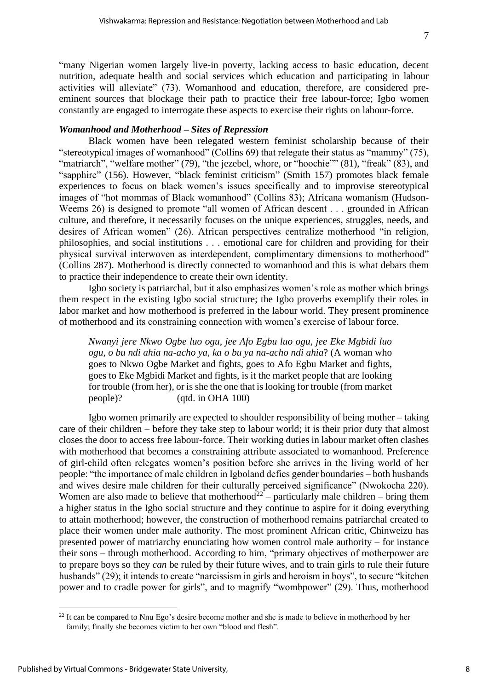"many Nigerian women largely live-in poverty, lacking access to basic education, decent nutrition, adequate health and social services which education and participating in labour activities will alleviate" (73). Womanhood and education, therefore, are considered preeminent sources that blockage their path to practice their free labour-force; Igbo women constantly are engaged to interrogate these aspects to exercise their rights on labour-force.

#### *Womanhood and Motherhood – Sites of Repression*

Black women have been relegated western feminist scholarship because of their "stereotypical images of womanhood" (Collins 69) that relegate their status as "mammy" (75), "matriarch", "welfare mother" (79), "the jezebel, whore, or "hoochie"" (81), "freak" (83), and "sapphire" (156). However, "black feminist criticism" (Smith 157) promotes black female experiences to focus on black women's issues specifically and to improvise stereotypical images of "hot mommas of Black womanhood" (Collins 83); Africana womanism (Hudson-Weems 26) is designed to promote "all women of African descent . . . grounded in African culture, and therefore, it necessarily focuses on the unique experiences, struggles, needs, and desires of African women" (26). African perspectives centralize motherhood "in religion, philosophies, and social institutions . . . emotional care for children and providing for their physical survival interwoven as interdependent, complimentary dimensions to motherhood" (Collins 287). Motherhood is directly connected to womanhood and this is what debars them to practice their independence to create their own identity.

Igbo society is patriarchal, but it also emphasizes women's role as mother which brings them respect in the existing Igbo social structure; the Igbo proverbs exemplify their roles in labor market and how motherhood is preferred in the labour world. They present prominence of motherhood and its constraining connection with women's exercise of labour force.

*Nwanyi jere Nkwo Ogbe luo ogu, jee Afo Egbu luo ogu, jee Eke Mgbidi luo ogu, o bu ndi ahia na-acho ya, ka o bu ya na-acho ndi ahia*? (A woman who goes to Nkwo Ogbe Market and fights, goes to Afo Egbu Market and fights, goes to Eke Mgbidi Market and fights, is it the market people that are looking for trouble (from her), or is she the one that is looking for trouble (from market people)? (qtd. in OHA 100)

Igbo women primarily are expected to shoulder responsibility of being mother – taking care of their children – before they take step to labour world; it is their prior duty that almost closes the door to access free labour-force. Their working duties in labour market often clashes with motherhood that becomes a constraining attribute associated to womanhood. Preference of girl-child often relegates women's position before she arrives in the living world of her people: "the importance of male children in Igboland defies gender boundaries – both husbands and wives desire male children for their culturally perceived significance" (Nwokocha 220). Women are also made to believe that motherhood<sup>22</sup> – particularly male children – bring them a higher status in the Igbo social structure and they continue to aspire for it doing everything to attain motherhood; however, the construction of motherhood remains patriarchal created to place their women under male authority. The most prominent African critic, Chinweizu has presented power of matriarchy enunciating how women control male authority – for instance their sons – through motherhood. According to him, "primary objectives of motherpower are to prepare boys so they *can* be ruled by their future wives, and to train girls to rule their future husbands" (29); it intends to create "narcissism in girls and heroism in boys", to secure "kitchen" power and to cradle power for girls", and to magnify "wombpower" (29). Thus, motherhood

 $22$  It can be compared to Nnu Ego's desire become mother and she is made to believe in motherhood by her family; finally she becomes victim to her own "blood and flesh".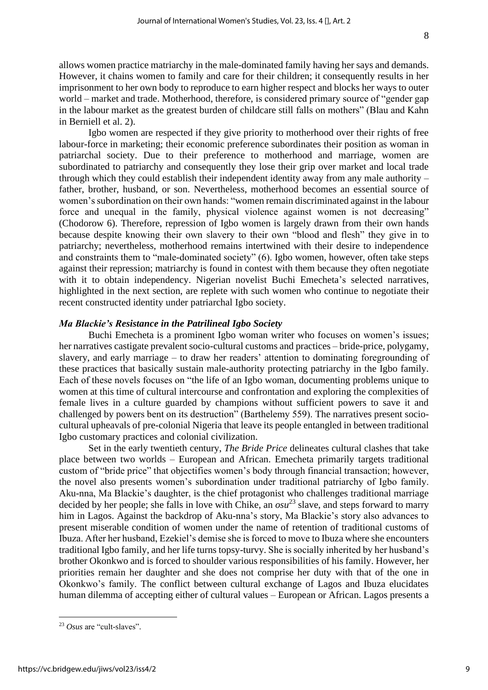allows women practice matriarchy in the male-dominated family having her says and demands. However, it chains women to family and care for their children; it consequently results in her imprisonment to her own body to reproduce to earn higher respect and blocks her ways to outer world – market and trade. Motherhood, therefore, is considered primary source of "gender gap in the labour market as the greatest burden of childcare still falls on mothers" (Blau and Kahn in Berniell et al. 2).

Igbo women are respected if they give priority to motherhood over their rights of free labour-force in marketing; their economic preference subordinates their position as woman in patriarchal society. Due to their preference to motherhood and marriage, women are subordinated to patriarchy and consequently they lose their grip over market and local trade through which they could establish their independent identity away from any male authority – father, brother, husband, or son. Nevertheless, motherhood becomes an essential source of women's subordination on their own hands: "women remain discriminated against in the labour force and unequal in the family, physical violence against women is not decreasing" (Chodorow 6). Therefore, repression of Igbo women is largely drawn from their own hands because despite knowing their own slavery to their own "blood and flesh" they give in to patriarchy; nevertheless, motherhood remains intertwined with their desire to independence and constraints them to "male-dominated society" (6). Igbo women, however, often take steps against their repression; matriarchy is found in contest with them because they often negotiate with it to obtain independency. Nigerian novelist Buchi Emecheta's selected narratives, highlighted in the next section, are replete with such women who continue to negotiate their recent constructed identity under patriarchal Igbo society.

#### *Ma Blackie's Resistance in the Patrilineal Igbo Society*

Buchi Emecheta is a prominent Igbo woman writer who focuses on women's issues; her narratives castigate prevalent socio-cultural customs and practices – bride-price, polygamy, slavery, and early marriage – to draw her readers' attention to dominating foregrounding of these practices that basically sustain male-authority protecting patriarchy in the Igbo family. Each of these novels focuses on "the life of an Igbo woman, documenting problems unique to women at this time of cultural intercourse and confrontation and exploring the complexities of female lives in a culture guarded by champions without sufficient powers to save it and challenged by powers bent on its destruction" (Barthelemy 559). The narratives present sociocultural upheavals of pre-colonial Nigeria that leave its people entangled in between traditional Igbo customary practices and colonial civilization.

Set in the early twentieth century, *The Bride Price* delineates cultural clashes that take place between two worlds – European and African. Emecheta primarily targets traditional custom of "bride price" that objectifies women's body through financial transaction; however, the novel also presents women's subordination under traditional patriarchy of Igbo family. Aku-nna, Ma Blackie's daughter, is the chief protagonist who challenges traditional marriage decided by her people; she falls in love with Chike, an *osu*<sup>23</sup> slave, and steps forward to marry him in Lagos. Against the backdrop of Aku-nna's story, Ma Blackie's story also advances to present miserable condition of women under the name of retention of traditional customs of Ibuza. After her husband, Ezekiel's demise she is forced to move to Ibuza where she encounters traditional Igbo family, and her life turns topsy-turvy. She is socially inherited by her husband's brother Okonkwo and is forced to shoulder various responsibilities of his family. However, her priorities remain her daughter and she does not comprise her duty with that of the one in Okonkwo's family. The conflict between cultural exchange of Lagos and Ibuza elucidates human dilemma of accepting either of cultural values – European or African. Lagos presents a

<sup>23</sup> *Osus* are "cult-slaves".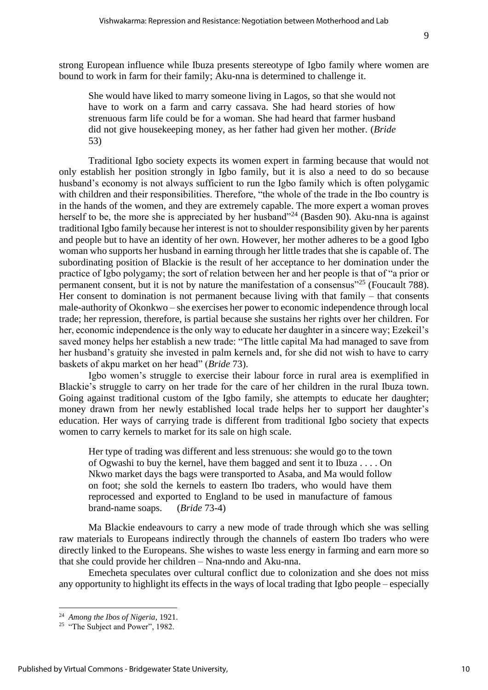strong European influence while Ibuza presents stereotype of Igbo family where women are bound to work in farm for their family; Aku-nna is determined to challenge it.

She would have liked to marry someone living in Lagos, so that she would not have to work on a farm and carry cassava. She had heard stories of how strenuous farm life could be for a woman. She had heard that farmer husband did not give housekeeping money, as her father had given her mother. (*Bride* 53)

Traditional Igbo society expects its women expert in farming because that would not only establish her position strongly in Igbo family, but it is also a need to do so because husband's economy is not always sufficient to run the Igbo family which is often polygamic with children and their responsibilities. Therefore, "the whole of the trade in the Ibo country is in the hands of the women, and they are extremely capable. The more expert a woman proves herself to be, the more she is appreciated by her husband"<sup>24</sup> (Basden 90). Aku-nna is against traditional Igbo family because her interest is not to shoulder responsibility given by her parents and people but to have an identity of her own. However, her mother adheres to be a good Igbo woman who supports her husband in earning through her little trades that she is capable of. The subordinating position of Blackie is the result of her acceptance to her domination under the practice of Igbo polygamy; the sort of relation between her and her people is that of "a prior or permanent consent, but it is not by nature the manifestation of a consensus<sup>"25</sup> (Foucault 788). Her consent to domination is not permanent because living with that family – that consents male-authority of Okonkwo – she exercises her power to economic independence through local trade; her repression, therefore, is partial because she sustains her rights over her children. For her, economic independence is the only way to educate her daughter in a sincere way; Ezekeil's saved money helps her establish a new trade: "The little capital Ma had managed to save from her husband's gratuity she invested in palm kernels and, for she did not wish to have to carry baskets of akpu market on her head" (*Bride* 73).

Igbo women's struggle to exercise their labour force in rural area is exemplified in Blackie's struggle to carry on her trade for the care of her children in the rural Ibuza town. Going against traditional custom of the Igbo family, she attempts to educate her daughter; money drawn from her newly established local trade helps her to support her daughter's education. Her ways of carrying trade is different from traditional Igbo society that expects women to carry kernels to market for its sale on high scale.

Her type of trading was different and less strenuous: she would go to the town of Ogwashi to buy the kernel, have them bagged and sent it to Ibuza . . . . On Nkwo market days the bags were transported to Asaba, and Ma would follow on foot; she sold the kernels to eastern Ibo traders, who would have them reprocessed and exported to England to be used in manufacture of famous brand-name soaps. (*Bride* 73-4)

Ma Blackie endeavours to carry a new mode of trade through which she was selling raw materials to Europeans indirectly through the channels of eastern Ibo traders who were directly linked to the Europeans. She wishes to waste less energy in farming and earn more so that she could provide her children – Nna-nndo and Aku-nna.

Emecheta speculates over cultural conflict due to colonization and she does not miss any opportunity to highlight its effects in the ways of local trading that Igbo people – especially

<sup>24</sup> *Among the Ibos of Nigeria*, 1921.

<sup>&</sup>lt;sup>25</sup> "The Subject and Power", 1982.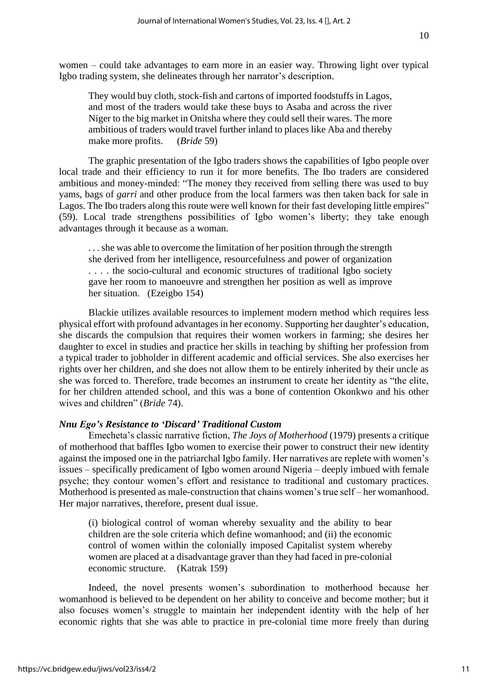women – could take advantages to earn more in an easier way. Throwing light over typical Igbo trading system, she delineates through her narrator's description.

They would buy cloth, stock-fish and cartons of imported foodstuffs in Lagos, and most of the traders would take these buys to Asaba and across the river Niger to the big market in Onitsha where they could sell their wares. The more ambitious of traders would travel further inland to places like Aba and thereby make more profits. (*Bride* 59)

The graphic presentation of the Igbo traders shows the capabilities of Igbo people over local trade and their efficiency to run it for more benefits. The Ibo traders are considered ambitious and money-minded: "The money they received from selling there was used to buy yams, bags of *garri* and other produce from the local farmers was then taken back for sale in Lagos. The Ibo traders along this route were well known for their fast developing little empires" (59). Local trade strengthens possibilities of Igbo women's liberty; they take enough advantages through it because as a woman.

. . . she was able to overcome the limitation of her position through the strength she derived from her intelligence, resourcefulness and power of organization . . . . the socio-cultural and economic structures of traditional Igbo society gave her room to manoeuvre and strengthen her position as well as improve her situation. (Ezeigbo 154)

Blackie utilizes available resources to implement modern method which requires less physical effort with profound advantages in her economy. Supporting her daughter's education, she discards the compulsion that requires their women workers in farming; she desires her daughter to excel in studies and practice her skills in teaching by shifting her profession from a typical trader to jobholder in different academic and official services. She also exercises her rights over her children, and she does not allow them to be entirely inherited by their uncle as she was forced to. Therefore, trade becomes an instrument to create her identity as "the elite, for her children attended school, and this was a bone of contention Okonkwo and his other wives and children" (*Bride* 74).

#### *Nnu Ego's Resistance to 'Discard' Traditional Custom*

Emecheta's classic narrative fiction, *The Joys of Motherhood* (1979) presents a critique of motherhood that baffles Igbo women to exercise their power to construct their new identity against the imposed one in the patriarchal Igbo family. Her narratives are replete with women's issues – specifically predicament of Igbo women around Nigeria – deeply imbued with female psyche; they contour women's effort and resistance to traditional and customary practices. Motherhood is presented as male-construction that chains women's true self – her womanhood. Her major narratives, therefore, present dual issue.

(i) biological control of woman whereby sexuality and the ability to bear children are the sole criteria which define womanhood; and (ii) the economic control of women within the colonially imposed Capitalist system whereby women are placed at a disadvantage graver than they had faced in pre-colonial economic structure. (Katrak 159)

Indeed, the novel presents women's subordination to motherhood because her womanhood is believed to be dependent on her ability to conceive and become mother; but it also focuses women's struggle to maintain her independent identity with the help of her economic rights that she was able to practice in pre-colonial time more freely than during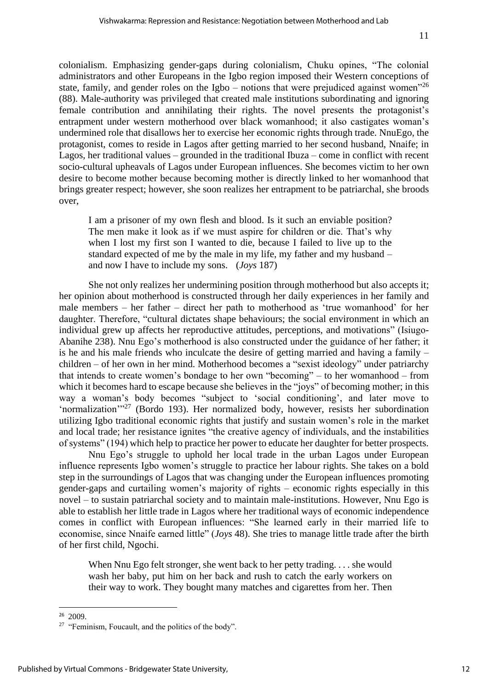colonialism. Emphasizing gender-gaps during colonialism, Chuku opines, "The colonial administrators and other Europeans in the Igbo region imposed their Western conceptions of state, family, and gender roles on the Igbo – notions that were prejudiced against women<sup> $26$ </sup> (88). Male-authority was privileged that created male institutions subordinating and ignoring female contribution and annihilating their rights. The novel presents the protagonist's entrapment under western motherhood over black womanhood; it also castigates woman's undermined role that disallows her to exercise her economic rights through trade. NnuEgo, the protagonist, comes to reside in Lagos after getting married to her second husband, Nnaife; in Lagos, her traditional values – grounded in the traditional Ibuza – come in conflict with recent socio-cultural upheavals of Lagos under European influences. She becomes victim to her own desire to become mother because becoming mother is directly linked to her womanhood that brings greater respect; however, she soon realizes her entrapment to be patriarchal, she broods over,

I am a prisoner of my own flesh and blood. Is it such an enviable position? The men make it look as if we must aspire for children or die. That's why when I lost my first son I wanted to die, because I failed to live up to the standard expected of me by the male in my life, my father and my husband – and now I have to include my sons. (*Joys* 187)

She not only realizes her undermining position through motherhood but also accepts it; her opinion about motherhood is constructed through her daily experiences in her family and male members – her father – direct her path to motherhood as 'true womanhood' for her daughter. Therefore, "cultural dictates shape behaviours; the social environment in which an individual grew up affects her reproductive attitudes, perceptions, and motivations" (Isiugo-Abanihe 238). Nnu Ego's motherhood is also constructed under the guidance of her father; it is he and his male friends who inculcate the desire of getting married and having a family – children – of her own in her mind. Motherhood becomes a "sexist ideology" under patriarchy that intends to create women's bondage to her own "becoming" – to her womanhood – from which it becomes hard to escape because she believes in the "joys" of becoming mother; in this way a woman's body becomes "subject to 'social conditioning', and later move to 'normalization'"<sup>27</sup> (Bordo 193). Her normalized body, however, resists her subordination utilizing Igbo traditional economic rights that justify and sustain women's role in the market and local trade; her resistance ignites "the creative agency of individuals, and the instabilities of systems" (194) which help to practice her power to educate her daughter for better prospects.

Nnu Ego's struggle to uphold her local trade in the urban Lagos under European influence represents Igbo women's struggle to practice her labour rights. She takes on a bold step in the surroundings of Lagos that was changing under the European influences promoting gender-gaps and curtailing women's majority of rights – economic rights especially in this novel – to sustain patriarchal society and to maintain male-institutions. However, Nnu Ego is able to establish her little trade in Lagos where her traditional ways of economic independence comes in conflict with European influences: "She learned early in their married life to economise, since Nnaife earned little" (*Joys* 48). She tries to manage little trade after the birth of her first child, Ngochi.

When Nnu Ego felt stronger, she went back to her petty trading. . . . she would wash her baby, put him on her back and rush to catch the early workers on their way to work. They bought many matches and cigarettes from her. Then

 $26$  2009.

<sup>&</sup>lt;sup>27</sup> "Feminism, Foucault, and the politics of the body".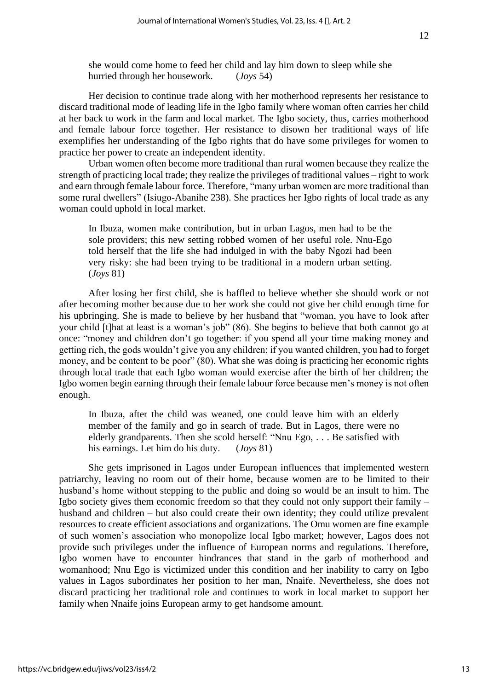she would come home to feed her child and lay him down to sleep while she hurried through her housework. (*Joys* 54)

Her decision to continue trade along with her motherhood represents her resistance to discard traditional mode of leading life in the Igbo family where woman often carries her child at her back to work in the farm and local market. The Igbo society, thus, carries motherhood and female labour force together. Her resistance to disown her traditional ways of life exemplifies her understanding of the Igbo rights that do have some privileges for women to practice her power to create an independent identity.

Urban women often become more traditional than rural women because they realize the strength of practicing local trade; they realize the privileges of traditional values – right to work and earn through female labour force. Therefore, "many urban women are more traditional than some rural dwellers" (Isiugo-Abanihe 238). She practices her Igbo rights of local trade as any woman could uphold in local market.

In Ibuza, women make contribution, but in urban Lagos, men had to be the sole providers; this new setting robbed women of her useful role. Nnu-Ego told herself that the life she had indulged in with the baby Ngozi had been very risky: she had been trying to be traditional in a modern urban setting. (*Joys* 81)

After losing her first child, she is baffled to believe whether she should work or not after becoming mother because due to her work she could not give her child enough time for his upbringing. She is made to believe by her husband that "woman, you have to look after your child [t]hat at least is a woman's job" (86). She begins to believe that both cannot go at once: "money and children don't go together: if you spend all your time making money and getting rich, the gods wouldn't give you any children; if you wanted children, you had to forget money, and be content to be poor" (80). What she was doing is practicing her economic rights through local trade that each Igbo woman would exercise after the birth of her children; the Igbo women begin earning through their female labour force because men's money is not often enough.

In Ibuza, after the child was weaned, one could leave him with an elderly member of the family and go in search of trade. But in Lagos, there were no elderly grandparents. Then she scold herself: "Nnu Ego, . . . Be satisfied with his earnings. Let him do his duty. (*Joys* 81)

She gets imprisoned in Lagos under European influences that implemented western patriarchy, leaving no room out of their home, because women are to be limited to their husband's home without stepping to the public and doing so would be an insult to him. The Igbo society gives them economic freedom so that they could not only support their family – husband and children – but also could create their own identity; they could utilize prevalent resources to create efficient associations and organizations. The Omu women are fine example of such women's association who monopolize local Igbo market; however, Lagos does not provide such privileges under the influence of European norms and regulations. Therefore, Igbo women have to encounter hindrances that stand in the garb of motherhood and womanhood; Nnu Ego is victimized under this condition and her inability to carry on Igbo values in Lagos subordinates her position to her man, Nnaife. Nevertheless, she does not discard practicing her traditional role and continues to work in local market to support her family when Nnaife joins European army to get handsome amount.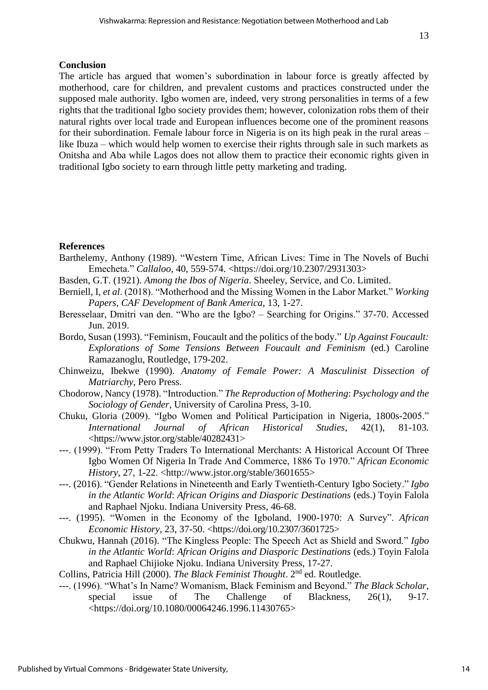### **Conclusion**

The article has argued that women's subordination in labour force is greatly affected by motherhood, care for children, and prevalent customs and practices constructed under the supposed male authority. Igbo women are, indeed, very strong personalities in terms of a few rights that the traditional Igbo society provides them; however, colonization robs them of their natural rights over local trade and European influences become one of the prominent reasons for their subordination. Female labour force in Nigeria is on its high peak in the rural areas – like Ibuza – which would help women to exercise their rights through sale in such markets as Onitsha and Aba while Lagos does not allow them to practice their economic rights given in traditional Igbo society to earn through little petty marketing and trading.

## **References**

- Barthelemy, Anthony (1989). "Western Time, African Lives: Time in The Novels of Buchi Emecheta." *Callaloo*, 40, 559-574. [<https://doi.org/10.2307/2931303>](https://doi.org/10.2307/2931303)
- Basden, G.T. (1921). *Among the Ibos of Nigeria*. Sheeley, Service, and Co. Limited.
- Berniell, I, *et al*. (2018). "Motherhood and the Missing Women in the Labor Market." *Working Papers*, *CAF Development of Bank America*, 13, 1-27.
- Beresselaar, Dmitri van den. "Who are the Igbo? Searching for Origins." 37-70. Accessed Jun. 2019.
- Bordo, Susan (1993). ["Feminism, Foucault and the politics of the body.](https://philpapers.org/rec/BORFFA)" *Up Against Foucault: Explorations of Some Tensions Between Foucault and Feminism* (ed.) Caroline Ramazanoglu, Routledge, 179-202.
- Chinweizu, Ibekwe (1990). *Anatomy of Female Power: A Masculinist Dissection of Matriarchy*, Pero Press.
- Chodorow, Nancy (1978). "Introduction." *The Reproduction of Mothering*: *Psychology and the Sociology of Gender*, University of Carolina Press, 3-10.
- Chuku, Gloria (2009). "Igbo Women and Political Participation in Nigeria, 1800s-2005." *International Journal of African Historical Studies*, 42(1), 81-103. <https://www.jstor.org/stable/40282431>
- ---. (1999). "From Petty Traders To International Merchants: A Historical Account Of Three Igbo Women Of Nigeria In Trade And Commerce, 1886 To 1970." *African Economic History*, 27, 1-22. <http://www.jstor.org/stable/3601655>
- ---. (2016). "Gender Relations in Nineteenth and Early Twentieth-Century Igbo Society." *Igbo in the Atlantic World*: *African Origins and Diasporic Destinations* (eds.) Toyin Falola and Raphael Njoku. Indiana University Press, 46-68.
- ---. (1995). "Women in the Economy of the Igboland, 1900-1970: A Survey". *African Economic History*, 23, 37-50. [<https://doi.org/10.2307/3601725>](https://doi.org/10.2307/3601725)
- Chukwu, Hannah (2016). "The Kingless People: The Speech Act as Shield and Sword." *Igbo in the Atlantic World*: *African Origins and Diasporic Destinations* (eds.) Toyin Falola and Raphael Chijioke Njoku. Indiana University Press, 17-27.
- Collins, Patricia Hill (2000). *The Black Feminist Thought*. 2nd ed. Routledge.
- ---. (1996). "What's In Name? Womanism, Black Feminism and Beyond." *The Black Scholar*, special issue of The Challenge of Blackness, 26(1), 9-17. <https://doi.org/10.1080/00064246.1996.11430765>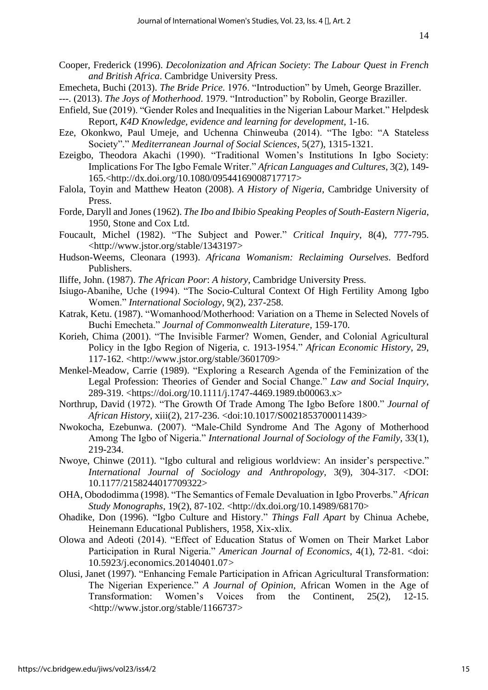- Cooper, Frederick (1996). *Decolonization and African Society*: *The Labour Quest in French and British Africa*. Cambridge University Press.
- Emecheta, Buchi (2013). *The Bride Price*. 1976. "Introduction" by Umeh, George Braziller.
- ---. (2013). *The Joys of Motherhood*. 1979. "Introduction" by Robolin, George Braziller.
- Enfield, Sue (2019). "Gender Roles and Inequalities in the Nigerian Labour Market." Helpdesk Report, *K4D Knowledge, evidence and learning for development*, 1-16.
- Eze, Okonkwo, Paul Umeje, and Uchenna Chinweuba (2014). "The Igbo: "A Stateless Society"." *Mediterranean Journal of Social Sciences*, 5(27), 1315-1321.
- Ezeigbo, Theodora Akachi (1990). "Traditional Women's Institutions In Igbo Society: Implications For The Igbo Female Writer." *African Languages and Cultures*, 3(2), 149- 165.[<http://dx.doi.org/10.1080/09544169008717717>](http://dx.doi.org/10.1080/09544169008717717)
- Falola, Toyin and Matthew Heaton (2008). *A History of Nigeria*, Cambridge University of Press.
- Forde, Daryll and Jones (1962). *The Ibo and Ibibio Speaking Peoples of South-Eastern Nigeria*, 1950, Stone and Cox Ltd.
- Foucault, Michel (1982). "The Subject and Power." *Critical Inquiry*, 8(4), 777-795. [<http://www.jstor.org/stable/1343197>](http://www.jstor.org/stable/1343197)
- Hudson-Weems, Cleonara (1993). *Africana Womanism: Reclaiming Ourselves*. Bedford Publishers.
- Iliffe, John. (1987). *The African Poor*: *A history*, Cambridge University Press.
- Isiugo-Abanihe, Uche (1994). "The Socio-Cultural Context Of High Fertility Among Igbo Women." *International Sociology*, 9(2), 237-258.
- Katrak, Ketu. (1987). "Womanhood/Motherhood: Variation on a Theme in Selected Novels of Buchi Emecheta." *Journal of Commonwealth Literature*, 159-170.
- Korieh, Chima (2001). "The Invisible Farmer? Women, Gender, and Colonial Agricultural Policy in the Igbo Region of Nigeria, c. 1913-1954." *African Economic History*, 29, 117-162. <http://www.jstor.org/stable/3601709>
- Menkel-Meadow, Carrie (1989). "Exploring a Research Agenda of the Feminization of the Legal Profession: Theories of Gender and Social Change." *Law and Social Inquiry*, 289-319. <https://doi.org/10.1111/j.1747-4469.1989.tb00063.x>
- Northrup, David (1972). "The Growth Of Trade Among The Igbo Before 1800." *Journal of African History*, xiii(2), 217-236. <doi:10.1017/S0021853700011439>
- Nwokocha, Ezebunwa. (2007). "Male-Child Syndrome And The Agony of Motherhood Among The Igbo of Nigeria." *International Journal of Sociology of the Family*, 33(1), 219-234.
- Nwoye, Chinwe (2011). "Igbo cultural and religious worldview: An insider's perspective." *International Journal of Sociology and Anthropology*, 3(9), 304-317. <DOI: 10.1177/2158244017709322>
- OHA, Obododimma (1998). "The Semantics of Female Devaluation in Igbo Proverbs." *African Study Monographs*, 19(2), 87-102. <http://dx.doi.org/10.14989/68170>
- Ohadike, Don (1996). "Igbo Culture and History." *Things Fall Apart* by Chinua Achebe, Heinemann Educational Publishers, 1958, Xix-xlix.
- Olowa and Adeoti (2014). "Effect of Education Status of Women on Their Market Labor Participation in Rural Nigeria." *American Journal of Economics*, 4(1), 72-81. <doi: 10.5923/j.economics.20140401.07>
- Olusi, Janet (1997). "Enhancing Female Participation in African Agricultural Transformation: The Nigerian Experience." *A Journal of Opinion*, African Women in the Age of Transformation: Women's Voices from the Continent, 25(2), 12-15. <http://www.jstor.org/stable/1166737>